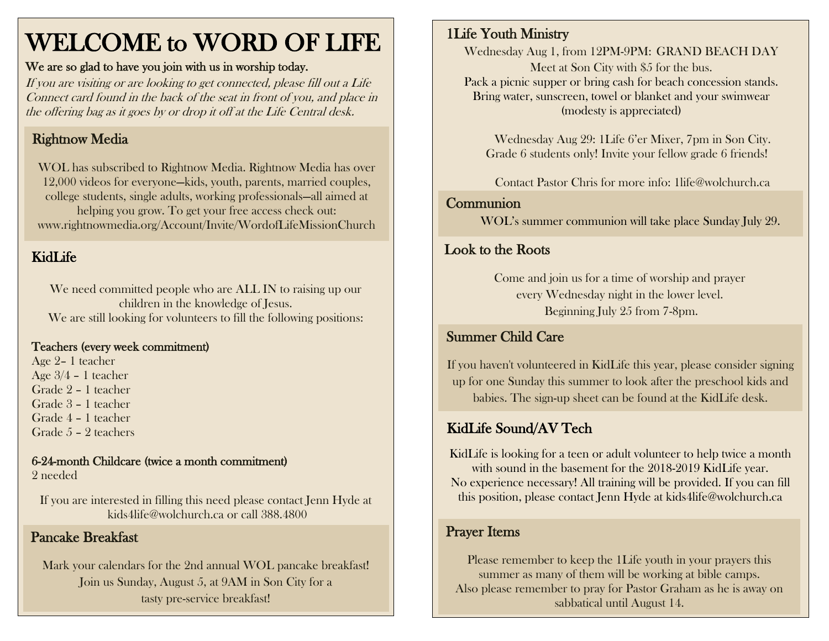# WELCOME to WORD OF LIFE

#### We are so glad to have you join with us in worship today.

If you are visiting or are looking to get connected, please fill out a Life Connect card found in the back of the seat in front of you, and place in the offering bag as it goes by or drop it off at the Life Central desk.

### Rightnow Media

WOL has subscribed to Rightnow Media. Rightnow Media has over 12,000 videos for everyone—kids, youth, parents, married couples, college students, single adults, working professionals—all aimed at helping you grow. To get your free access check out: www.rightnowmedia.org/Account/Invite/WordofLifeMissionChurch

#### KidLife

We need committed people who are ALL IN to raising up our children in the knowledge of Jesus. We are still looking for volunteers to fill the following positions:

#### Teachers (every week commitment)

 Age 2– 1 teacher Age 3/4 – 1 teacher Grade 2 – 1 teacher Grade 3 – 1 teacher Grade 4 – 1 teacher Grade 5 – 2 teachers

6-24-month Childcare (twice a month commitment) 2 needed

If you are interested in filling this need please contact Jenn Hyde at [kids4life@wolchurch.ca](mailto:kids4life@wolchurch.ca) or call 388.4800

#### Pancake Breakfast

Mark your calendars for the 2nd annual WOL pancake breakfast! Join us Sunday, August 5, at 9AM in Son City for a tasty pre-service breakfast!

#### 1Life Youth Ministry

Wednesday Aug 1, from 12PM-9PM: GRAND BEACH DAY Meet at Son City with \$5 for the bus. Pack a picnic supper or bring cash for beach concession stands. Bring water, sunscreen, towel or blanket and your swimwear (modesty is appreciated)

Wednesday Aug 29: 1Life 6'er Mixer, 7pm in Son City. Grade 6 students only! Invite your fellow grade 6 friends!

Contact Pastor Chris for more info: [1life@wolchurch.ca](mailto:1life@wolchurch.ca)

# Communion

WOL's summer communion will take place Sunday July 29.

## Look to the Roots

Come and join us for a time of worship and prayer every Wednesday night in the lower level. Beginning July 25 from 7-8pm.

#### Summer Child Care

If you haven't volunteered in KidLife this year, please consider signing up for one Sunday this summer to look after the preschool kids and babies. The sign-up sheet can be found at the KidLife desk.

#### KidLife Sound/AV Tech

KidLife is looking for a teen or adult volunteer to help twice a month with sound in the basement for the 2018-2019 KidLife year. No experience necessary! All training will be provided. If you can fill this position, please contact Jenn Hyde at [kids4life@wolchurch.ca](mailto:kids4life@wolchurch.ca)

#### Prayer Items

Please remember to keep the 1Life youth in your prayers this summer as many of them will be working at bible camps. Also please remember to pray for Pastor Graham as he is away on sabbatical until August 14.